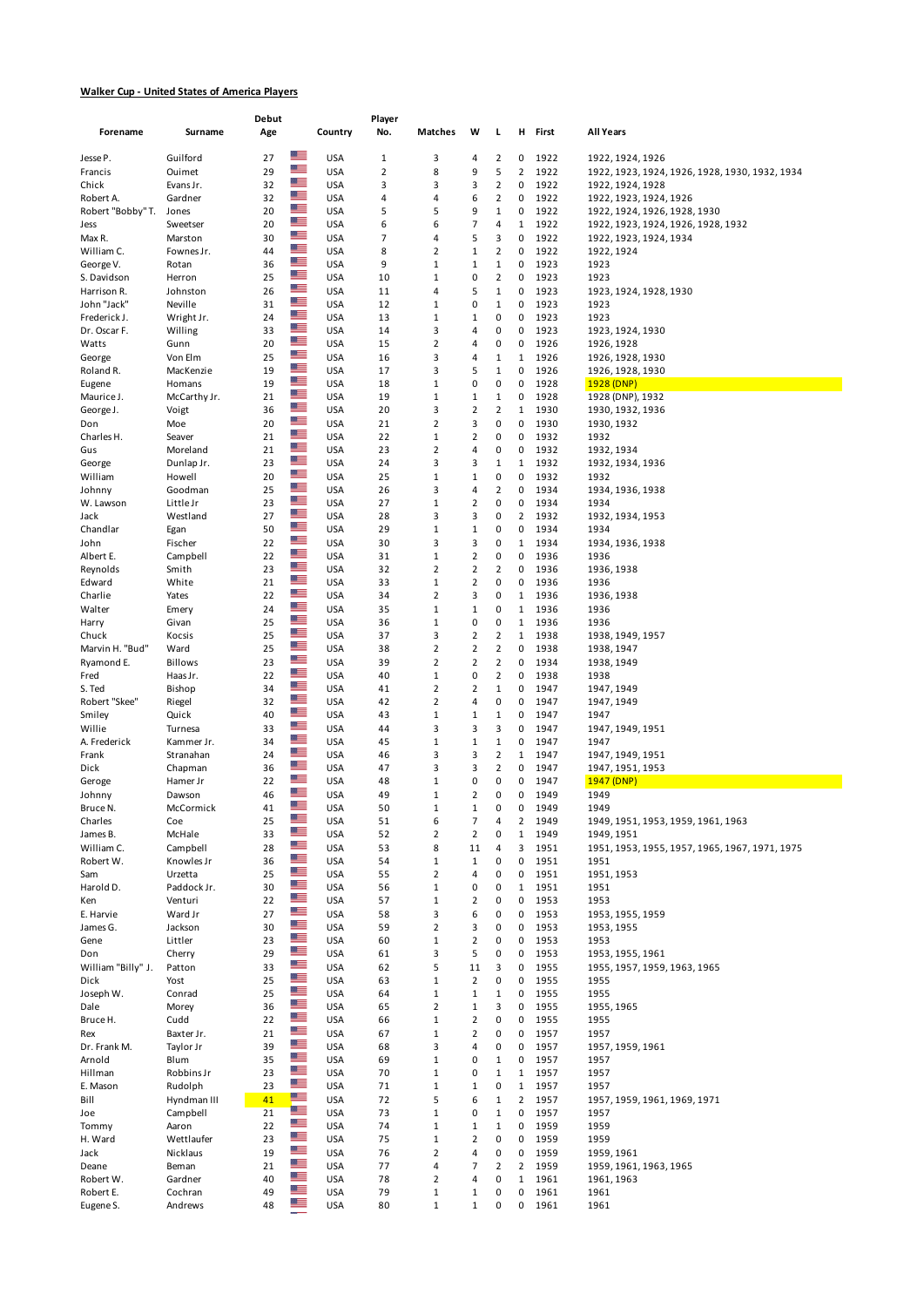## **Walker Cup - United States of America Players**

|                                |                        | Debut    |                                              | Player         |                              |                                |                                           |                     |              |                                                                    |
|--------------------------------|------------------------|----------|----------------------------------------------|----------------|------------------------------|--------------------------------|-------------------------------------------|---------------------|--------------|--------------------------------------------------------------------|
| Forename                       | Surname                | Age      | Country                                      | No.            | Matches                      | W                              | L                                         | н                   | First        | All Years                                                          |
| Jesse P.                       | Guilford               | 27       | ᄩ<br><b>USA</b>                              | $\mathbf{1}$   | 3                            | 4                              | 2                                         | 0                   | 1922         | 1922, 1924, 1926                                                   |
| Francis                        | Ouimet                 | 29       | ▆▆<br><b>USA</b>                             | $\overline{2}$ | 8                            | 9                              | 5                                         | $\overline{2}$      | 1922         | 1922, 1923, 1924, 1926, 1928, 1930, 1932, 1934                     |
| Chick                          | Evans Jr.              | 32       | $\frac{m}{2}$<br><b>USA</b><br>$\frac{m}{2}$ | 3              | 3                            | 3                              | 2                                         | 0                   | 1922         | 1922, 1924, 1928                                                   |
| Robert A.<br>Robert "Bobby" T. | Gardner<br>Jones       | 32<br>20 | <b>USA</b><br>$\frac{m}{2}$<br><b>USA</b>    | 4<br>5         | 4<br>5                       | 6<br>9                         | 2<br>$\mathbf 1$                          | 0<br>0              | 1922<br>1922 | 1922, 1923, 1924, 1926                                             |
| Jess                           | Sweetser               | 20       | ≝≡<br><b>USA</b>                             | 6              | 6                            | 7                              | 4                                         | 1                   | 1922         | 1922, 1924, 1926, 1928, 1930<br>1922, 1923, 1924, 1926, 1928, 1932 |
| Max R.                         | Marston                | 30       | ≝≡<br><b>USA</b>                             | 7              | 4                            | 5                              | 3                                         | 0                   | 1922         | 1922, 1923, 1924, 1934                                             |
| William C.                     | Fownes Jr.             | 44       | ╩<br><b>USA</b>                              | 8              | $\overline{2}$               | $\,1\,$                        | $\overline{\mathbf{c}}$                   | 0                   | 1922         | 1922, 1924                                                         |
| George V.                      | Rotan                  | 36       | $\frac{m}{2}$<br><b>USA</b>                  | 9              | $\mathbf{1}$                 | $\mathbf 1$                    | $\mathbf{1}$                              | 0                   | 1923         | 1923                                                               |
| S. Davidson                    | Herron<br>Johnston     | 25       | ▀<br><b>USA</b><br><u> 2 – </u>              | 10             | 1                            | 0                              | 2                                         | 0                   | 1923         | 1923                                                               |
| Harrison R.<br>John "Jack"     | Neville                | 26<br>31 | <b>USA</b><br>▓▆<br><b>USA</b>               | 11<br>12       | 4<br>1                       | 5<br>0                         | $\mathbf{1}$<br>$\mathbf{1}$              | 0<br>0              | 1923<br>1923 | 1923, 1924, 1928, 1930<br>1923                                     |
| Frederick J.                   | Wright Jr.             | 24       | ≡<br><b>USA</b>                              | 13             | $\mathbf{1}$                 | 1                              | 0                                         | $\pmb{0}$           | 1923         | 1923                                                               |
| Dr. Oscar F.                   | Willing                | 33       | $\frac{m}{2}$<br><b>USA</b>                  | 14             | 3                            | 4                              | 0                                         | 0                   | 1923         | 1923, 1924, 1930                                                   |
| Watts                          | Gunn                   | 20       | كك<br><b>USA</b>                             | 15             | $\overline{2}$               | 4                              | 0                                         | 0                   | 1926         | 1926, 1928                                                         |
| George                         | Von Elm                | 25       | ≝≡<br><b>USA</b><br>$\frac{m}{2}$            | 16             | 3                            | 4                              | $\mathbf 1$                               | $\mathbf{1}$        | 1926         | 1926, 1928, 1930                                                   |
| Roland R.<br>Eugene            | MacKenzie<br>Homans    | 19<br>19 | <b>USA</b><br>ض<br><b>USA</b>                | 17<br>18       | 3<br>1                       | 5<br>0                         | $\mathbf{1}$<br>0                         | 0<br>0              | 1926<br>1928 | 1926, 1928, 1930<br>1928 (DNP)                                     |
| Maurice J.                     | McCarthy Jr.           | 21       | ▓▆<br><b>USA</b>                             | 19             | 1                            | $\mathbf 1$                    | $\mathbf 1$                               | 0                   | 1928         | 1928 (DNP), 1932                                                   |
| George J.                      | Voigt                  | 36       | ڪ<br><b>USA</b>                              | 20             | 3                            | $\overline{2}$                 | 2                                         | 1                   | 1930         | 1930, 1932, 1936                                                   |
| Don                            | Moe                    | 20       | $\frac{m}{2}$<br><b>USA</b>                  | 21             | $\overline{2}$               | 3                              | 0                                         | 0                   | 1930         | 1930, 1932                                                         |
| Charles H.                     | Seaver                 | 21       | ≝<br><b>USA</b>                              | 22             | $\mathbf{1}$                 | 2                              | 0                                         | 0                   | 1932         | 1932                                                               |
| Gus                            | Moreland               | 21<br>23 | ≝<br><b>USA</b><br>$\frac{1}{\sqrt{2}}$      | 23             | $\overline{2}$<br>3          | 4<br>3                         | 0<br>1                                    | 0<br>$\mathbf{1}$   | 1932         | 1932, 1934                                                         |
| George<br>William              | Dunlap Jr.<br>Howell   | 20       | <b>USA</b><br>≝≡<br><b>USA</b>               | 24<br>25       | 1                            | $\mathbf{1}$                   | 0                                         | 0                   | 1932<br>1932 | 1932, 1934, 1936<br>1932                                           |
| Johnny                         | Goodman                | 25       | ≝≡<br><b>USA</b>                             | 26             | 3                            | 4                              | 2                                         | 0                   | 1934         | 1934, 1936, 1938                                                   |
| W. Lawson                      | Little Jr              | 23       | ≡<br><b>USA</b>                              | 27             | $\mathbf{1}$                 | $\overline{2}$                 | 0                                         | 0                   | 1934         | 1934                                                               |
| Jack                           | Westland               | 27       | ╩<br><b>USA</b>                              | 28             | 3                            | 3                              | 0                                         | 2                   | 1932         | 1932, 1934, 1953                                                   |
| Chandlar                       | Egan                   | 50       | $\overline{\mathbf{r}}$<br><b>USA</b><br>≝≡  | 29             | 1                            | $\mathbf 1$                    | 0                                         | 0                   | 1934         | 1934                                                               |
| John<br>Albert E.              | Fischer<br>Campbell    | 22<br>22 | <b>USA</b><br>$\frac{m}{2}$<br><b>USA</b>    | 30<br>31       | 3<br>$\mathbf{1}$            | 3<br>$\mathbf 2$               | 0<br>0                                    | 1<br>0              | 1934<br>1936 | 1934, 1936, 1938<br>1936                                           |
| Reynolds                       | Smith                  | 23       | ≝≡<br><b>USA</b>                             | 32             | $\overline{2}$               | $\overline{2}$                 | $\overline{2}$                            | 0                   | 1936         | 1936, 1938                                                         |
| Edward                         | White                  | 21       | ≝≡<br><b>USA</b>                             | 33             | $\mathbf{1}$                 | $\overline{2}$                 | 0                                         | 0                   | 1936         | 1936                                                               |
| Charlie                        | Yates                  | 22       | $\frac{m}{2}$<br><b>USA</b>                  | 34             | $\overline{2}$               | 3                              | 0                                         | 1                   | 1936         | 1936, 1938                                                         |
| Walter                         | Emery                  | 24       | ▆▆<br><b>USA</b>                             | 35             | 1                            | $\mathbf 1$                    | 0                                         | $\mathbf 1$         | 1936         | 1936                                                               |
| Harry                          | Givan                  | 25       | $\frac{1}{2}$<br><b>USA</b><br>$\frac{m}{2}$ | 36             | 1                            | 0                              | 0                                         | $1\,$               | 1936         | 1936                                                               |
| Chuck<br>Marvin H. "Bud"       | Kocsis<br>Ward         | 25<br>25 | <b>USA</b><br>$\frac{m}{2}$<br><b>USA</b>    | 37<br>38       | 3<br>$\overline{2}$          | 2<br>$\overline{2}$            | $\overline{\mathbf{c}}$<br>$\overline{2}$ | 1<br>0              | 1938<br>1938 | 1938, 1949, 1957<br>1938, 1947                                     |
| Ryamond E.                     | Billows                | 23       | ≝≡<br><b>USA</b>                             | 39             | $\overline{2}$               | $\overline{2}$                 | 2                                         | 0                   | 1934         | 1938, 1949                                                         |
| Fred                           | Haas Jr.               | 22       | $\mathbb{Z}$ .<br><b>USA</b>                 | 40             | $\mathbf 1$                  | 0                              | 2                                         | 0                   | 1938         | 1938                                                               |
| S. Ted                         | Bishop                 | 34       | $\frac{m}{2}$<br><b>USA</b>                  | 41             | $\overline{2}$               | 2                              | $\mathbf 1$                               | 0                   | 1947         | 1947, 1949                                                         |
| Robert "Skee"                  | Riegel                 | 32       | ≝≡<br><b>USA</b><br>≝                        | 42             | $\overline{2}$               | 4                              | 0                                         | 0                   | 1947         | 1947, 1949                                                         |
| Smiley<br>Willie               | Quick                  | 40<br>33 | <b>USA</b><br><u> 2 – </u><br><b>USA</b>     | 43<br>44       | 1<br>3                       | $\mathbf{1}$<br>3              | $\mathbf 1$<br>3                          | 0<br>0              | 1947<br>1947 | 1947                                                               |
| A. Frederick                   | Turnesa<br>Kammer Jr.  | 34       | ≝≡<br><b>USA</b>                             | 45             | $\mathbf{1}$                 | $1\,$                          | $\mathbf{1}$                              | 0                   | 1947         | 1947, 1949, 1951<br>1947                                           |
| Frank                          | Stranahan              | 24       | $\frac{m}{2}$<br><b>USA</b>                  | 46             | 3                            | 3                              | 2                                         | 1                   | 1947         | 1947, 1949, 1951                                                   |
| Dick                           | Chapman                | 36       | ᢡ<br><b>USA</b>                              | 47             | 3                            | 3                              | 2                                         | 0                   | 1947         | 1947, 1951, 1953                                                   |
| Geroge                         | Hamer Jr               | 22       | $\frac{1}{2}$<br><b>USA</b><br>$\frac{w}{1}$ | 48             | $\mathbf{1}$                 | 0                              | 0                                         | 0                   | 1947         | 1947 (DNP)                                                         |
| Johnny                         | Dawson                 | 46       | <b>USA</b><br>n —                            | 49             | 1                            | 2                              | 0                                         | 0                   | 1949         | 1949                                                               |
| Bruce N.<br>Charles            | MCCOLMICK<br>Coe       | 41<br>25 | <b>USA</b><br>$\frac{m}{2}$<br><b>USA</b>    | 50<br>51       | ı<br>6                       | 1<br>7                         | 0<br>4                                    | U<br>$\overline{2}$ | 1949<br>1949 | 1949<br>1949, 1951, 1953, 1959, 1961, 1963                         |
| James B.                       | McHale                 | 33       | $\frac{m}{2}$<br><b>USA</b>                  | 52             | $\overline{2}$               | $\overline{2}$                 | 0                                         | $\mathbf{1}$        | 1949         | 1949, 1951                                                         |
| William C.                     | Campbell               | 28       | ڪ<br><b>USA</b>                              | 53             | 8                            | 11                             | 4                                         | 3                   | 1951         | 1951, 1953, 1955, 1957, 1965, 1967, 1971, 1975                     |
| Robert W.                      | Knowles Jr             | 36       | ≊≡<br><b>USA</b>                             | 54             | $\mathbf 1$                  | $\mathbf 1$                    | 0                                         | 0                   | 1951         | 1951                                                               |
| Sam                            | Urzetta                | 25       | $\frac{m}{2}$<br><b>USA</b><br>$\frac{m}{2}$ | 55             | $\overline{2}$               | 4                              | 0                                         | 0                   | 1951         | 1951, 1953                                                         |
| Harold D.<br>Ken               | Paddock Jr.<br>Venturi | 30<br>22 | <b>USA</b><br>≝<br><b>USA</b>                | 56<br>57       | $\mathbf{1}$<br>$\mathbf 1$  | 0<br>2                         | 0<br>0                                    | $\mathbf{1}$<br>0   | 1951<br>1953 | 1951<br>1953                                                       |
| E. Harvie                      | Ward Jr                | 27       | ≝<br><b>USA</b>                              | 58             | 3                            | 6                              | 0                                         | 0                   | 1953         | 1953, 1955, 1959                                                   |
| James G.                       | Jackson                | 30       | ╩<br><b>USA</b>                              | 59             | $\overline{2}$               | 3                              | 0                                         | 0                   | 1953         | 1953, 1955                                                         |
| Gene                           | Littler                | 23       | ≡<br><b>USA</b>                              | 60             | $\mathbf 1$                  | $\overline{2}$                 | 0                                         | 0                   | 1953         | 1953                                                               |
| Don                            | Cherry                 | 29       | ≊≡<br><b>USA</b><br>$\frac{m}{2}$            | 61             | 3                            | 5                              | 0                                         | 0                   | 1953         | 1953, 1955, 1961                                                   |
| William "Billy" J.<br>Dick     | Patton<br>Yost         | 33<br>25 | <b>USA</b><br>$\frac{m}{2}$<br><b>USA</b>    | 62<br>63       | 5<br>$\mathbf{1}$            | 11<br>$\overline{2}$           | з<br>0                                    | 0<br>0              | 1955<br>1955 | 1955, 1957, 1959, 1963, 1965<br>1955                               |
| Joseph W.                      | Conrad                 | 25       | 置<br><b>USA</b>                              | 64             | $\mathbf 1$                  | $\,1\,$                        | $\mathbf 1$                               | 0                   | 1955         | 1955                                                               |
| Dale                           | Morey                  | 36       | ≡<br><b>USA</b>                              | 65             | $\overline{2}$               | $\mathbf 1$                    | 3                                         | 0                   | 1955         | 1955, 1965                                                         |
| Bruce H.                       | Cudd                   | 22       | ≝≡<br><b>USA</b>                             | 66             | $\mathbf 1$                  | $\overline{2}$                 | 0                                         | 0                   | 1955         | 1955                                                               |
| Rex                            | Baxter Jr.             | 21       | $\frac{m}{2}$<br><b>USA</b><br>≡             | 67             | $\mathbf 1$                  | $\overline{2}$                 | 0                                         | 0                   | 1957         | 1957                                                               |
| Dr. Frank M.<br>Arnold         | Taylor Jr<br>Blum      | 39<br>35 | <b>USA</b><br>$\frac{1}{2}$<br><b>USA</b>    | 68<br>69       | 3<br>$\mathbf{1}$            | 4<br>0                         | 0<br>$\mathbf 1$                          | 0<br>0              | 1957<br>1957 | 1957, 1959, 1961<br>1957                                           |
| Hillman                        | Robbins Jr             | 23       | $\frac{m}{2}$<br><b>USA</b>                  | 70             | $\mathbf{1}$                 | 0                              | $\mathbf 1$                               | $\mathbf{1}$        | 1957         | 1957                                                               |
| E. Mason                       | Rudolph                | 23       | $\frac{m}{2}$<br><b>USA</b>                  | 71             | $\mathbf 1$                  | $\mathbf 1$                    | 0                                         | $\mathbf 1$         | 1957         | 1957                                                               |
| Bill                           | Hyndman III            | 41       | ≝<br><b>USA</b>                              | 72             | 5                            | 6                              | $\mathbf 1$                               | $\overline{2}$      | 1957         | 1957, 1959, 1961, 1969, 1971                                       |
| Joe                            | Campbell               | 21       | $\mathbb{Z}$ .<br><b>USA</b><br><u>a m</u>   | 73             | $\mathbf 1$                  | 0                              | $\mathbf 1$                               | 0                   | 1957         | 1957                                                               |
| Tommy<br>H. Ward               | Aaron<br>Wettlaufer    | 22<br>23 | <b>USA</b><br>≝≡<br><b>USA</b>               | 74<br>75       | $\mathbf{1}$<br>$\mathbf{1}$ | $\mathbf{1}$<br>$\overline{2}$ | $\mathbf 1$<br>0                          | 0<br>0              | 1959<br>1959 | 1959<br>1959                                                       |
| Jack                           | Nicklaus               | 19       | ≝<br><b>USA</b>                              | 76             | $\overline{2}$               | 4                              | 0                                         | 0                   | 1959         | 1959, 1961                                                         |
| Deane                          | Beman                  | 21       | $\frac{m}{2}$<br><b>USA</b>                  | 77             | 4                            | 7                              | $\overline{2}$                            | 2                   | 1959         | 1959, 1961, 1963, 1965                                             |
| Robert W.                      | Gardner                | 40       | ≝≡<br><b>USA</b>                             | 78             | $\mathbf 2$                  | 4                              | 0                                         | $\mathbf{1}$        | 1961         | 1961, 1963                                                         |
| Robert E.                      | Cochran                | 49       | $\frac{m}{2}$<br><b>USA</b>                  | 79             | $\mathbf{1}$                 | $\mathbf 1$                    | 0                                         | 0                   | 1961         | 1961                                                               |
| Eugene S.                      | Andrews                | 48       | ≝≡<br><b>USA</b>                             | 80             | $\mathbf{1}$                 | $\mathbf 1$                    | 0                                         | 0                   | 1961         | 1961                                                               |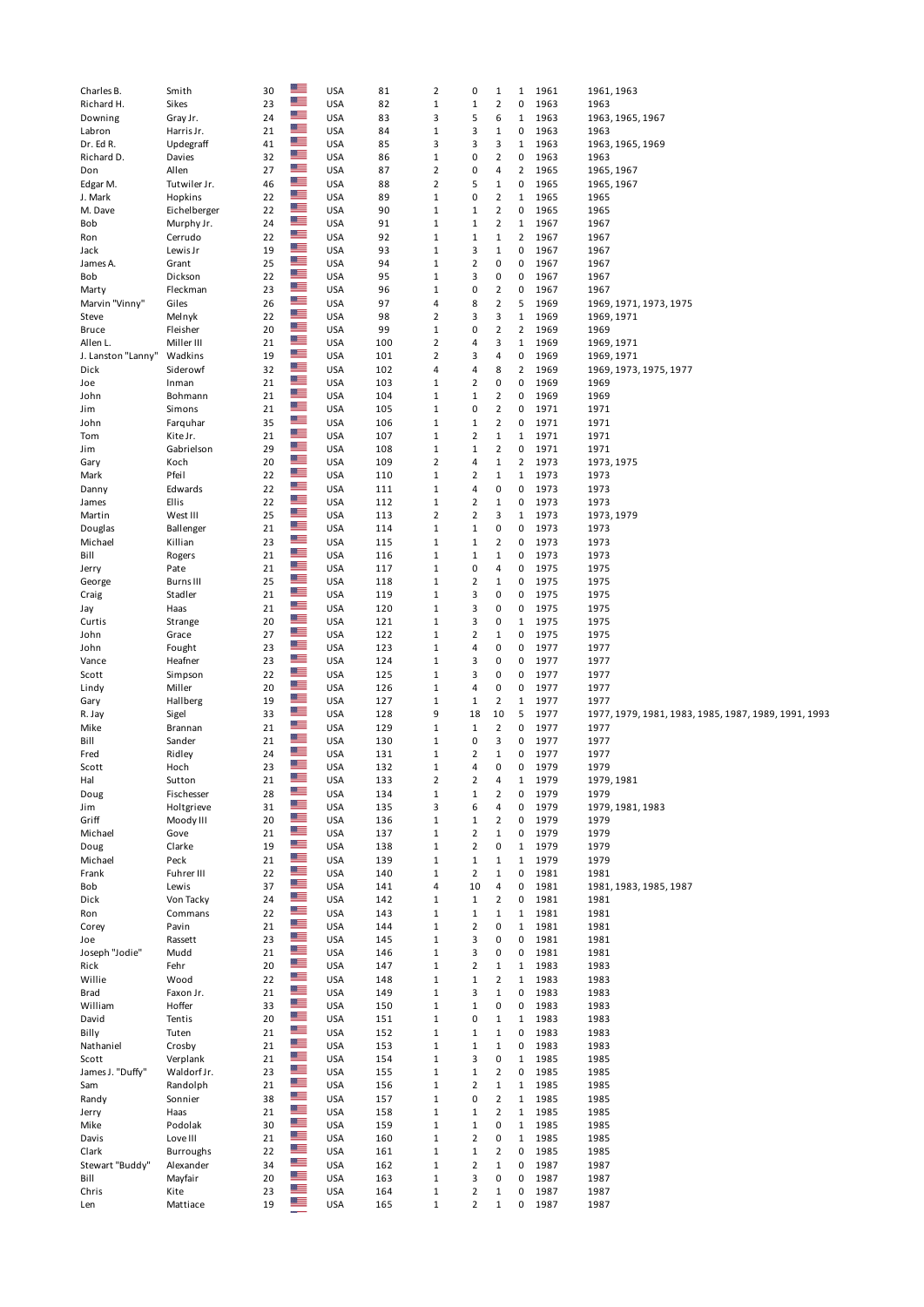| Charles B.         | Smith            | 30       | $\frac{1}{2}$  | <b>USA</b>               | 81         | $\overline{2}$             | 0                   | $\mathbf{1}$         | $\mathbf{1}$   | 1961         | 1961, 1963                                           |
|--------------------|------------------|----------|----------------|--------------------------|------------|----------------------------|---------------------|----------------------|----------------|--------------|------------------------------------------------------|
| Richard H.         | Sikes            | 23       |                | <b>USA</b>               | 82         | $\mathbf 1$                | $\mathbf 1$         | $\mathbf 2$          | 0              | 1963         | 1963                                                 |
| Downing            | Gray Jr.         | 24       | $\frac{1}{10}$ | <b>USA</b>               | 83         | 3                          | 5                   | 6                    | $\mathbf{1}$   | 1963         | 1963, 1965, 1967                                     |
| Labron             | Harris Jr.       | 21       | $\frac{m}{2}$  | <b>USA</b>               | 84         | $\,1\,$                    | 3                   | $\mathbf{1}$         | 0              | 1963         | 1963                                                 |
| Dr. Ed R.          | Updegraff        | 41       | <u>er</u>      | <b>USA</b>               | 85         | 3                          | 3                   | 3                    | $\mathbf{1}$   | 1963         | 1963, 1965, 1969                                     |
| Richard D.         | Davies           | 32       | $\mathbb{Z}$ . | <b>USA</b>               | 86         | $1\,$                      | 0                   | $\overline{2}$       | $\pmb{0}$      | 1963         | 1963                                                 |
|                    |                  |          | $\frac{m}{2}$  |                          |            |                            |                     |                      |                |              |                                                      |
| Don                | Allen            | 27       | $\frac{m}{2}$  | <b>USA</b>               | 87         | $\overline{2}$             | 0                   | 4                    | $\overline{2}$ | 1965         | 1965, 1967                                           |
| Edgar M.           | Tutwiler Jr.     | 46       |                | <b>USA</b>               | 88         | $\overline{2}$             | 5                   | $\mathbf 1$          | 0              | 1965         | 1965, 1967                                           |
| J. Mark            | Hopkins          | 22       | $\frac{1}{2}$  | <b>USA</b>               | 89         | $1\,$                      | 0                   | $\overline{2}$       | 1              | 1965         | 1965                                                 |
| M. Dave            | Eichelberger     | 22       | ╩              | <b>USA</b>               | 90         | $\,1\,$                    | $\mathbf 1$         | $\overline{2}$       | $\pmb{0}$      | 1965         | 1965                                                 |
| Bob                | Murphy Jr.       | 24       | $\frac{m}{2}$  | <b>USA</b>               | 91         | $\,1\,$                    | $\mathbf 1$         | $\overline{2}$       | 1              | 1967         | 1967                                                 |
| Ron                | Cerrudo          | 22       | ≝≡             | <b>USA</b>               | 92         | $1\,$                      | $\mathbf 1$         | 1                    | $\overline{2}$ | 1967         | 1967                                                 |
|                    |                  |          | $\frac{1}{2}$  |                          |            |                            |                     |                      |                |              |                                                      |
| Jack               | Lewis Jr         | 19       |                | <b>USA</b>               | 93         | $\,1\,$                    | 3                   | $\mathbf 1$          | $\pmb{0}$      | 1967         | 1967                                                 |
| James A.           | Grant            | 25       | ≝≡             | <b>USA</b>               | 94         | $\,1\,$                    | 2                   | 0                    | 0              | 1967         | 1967                                                 |
| Bob                | Dickson          | 22       | $\mathbb{Z}$ . | <b>USA</b>               | 95         | $\,1\,$                    | 3                   | 0                    | 0              | 1967         | 1967                                                 |
| Marty              | Fleckman         | 23       | $\frac{m}{2}$  | <b>USA</b>               | 96         | $\,1\,$                    | 0                   | $\overline{2}$       | $\pmb{0}$      | 1967         | 1967                                                 |
| Marvin "Vinny"     | Giles            | 26       | $\frac{m}{2}$  | <b>USA</b>               | 97         | 4                          | 8                   | $\overline{2}$       | 5              | 1969         | 1969, 1971, 1973, 1975                               |
|                    |                  |          | $\frac{1}{2}$  |                          |            |                            |                     |                      |                |              |                                                      |
| Steve              | Melnyk           | 22       |                | <b>USA</b>               | 98         | $\overline{2}$             | 3                   | 3                    | $1\,$          | 1969         | 1969, 1971                                           |
| Bruce              | Fleisher         | 20       | ≝≡             | <b>USA</b>               | 99         | $1\,$                      | 0                   | $\overline{2}$       | $\overline{2}$ | 1969         | 1969                                                 |
| Allen L.           | Miller III       | 21       | ╩              | <b>USA</b>               | 100        | $\overline{2}$             | 4                   | 3                    | $\mathbf{1}$   | 1969         | 1969, 1971                                           |
| J. Lanston "Lanny" | Wadkins          | 19       | ╩              | <b>USA</b>               | 101        | $\overline{2}$             | 3                   | 4                    | 0              | 1969         | 1969, 1971                                           |
| Dick               | Siderowf         | 32       | $\frac{1}{2}$  | <b>USA</b>               | 102        | 4                          | 4                   | 8                    | $\overline{2}$ | 1969         | 1969, 1973, 1975, 1977                               |
| Joe                | Inman            | 21       | $\frac{1}{2}$  | <b>USA</b>               | 103        | $\,1\,$                    | 2                   | 0                    | $\pmb{0}$      | 1969         | 1969                                                 |
|                    |                  |          | $\frac{m}{2}$  |                          |            |                            |                     |                      |                |              |                                                      |
| John               | Bohmann          | 21       |                | <b>USA</b>               | 104        | $\mathbf{1}$               | $\mathbf 1$         | $\overline{2}$       | 0              | 1969         | 1969                                                 |
| Jim                | Simons           | 21       | $\mathbb{Z}$ . | <b>USA</b>               | 105        | $\,1\,$                    | 0                   | $\mathbf 2$          | 0              | 1971         | 1971                                                 |
| John               | Farquhar         | 35       | ≝≡             | <b>USA</b>               | 106        | $\,1\,$                    | $\mathbf 1$         | $\overline{2}$       | 0              | 1971         | 1971                                                 |
| Tom                | Kite Jr.         | 21       | ≝≡             | <b>USA</b>               | 107        | $\,1\,$                    | 2                   | $\mathbf 1$          | $\mathbf 1$    | 1971         | 1971                                                 |
|                    |                  | 29       | ≝≡             |                          |            | $\,1\,$                    | $\mathbf 1$         | $\overline{2}$       |                |              |                                                      |
| Jim                | Gabrielson       |          | $\mathbb{Z}$ . | <b>USA</b>               | 108        |                            |                     |                      | 0              | 1971         | 1971                                                 |
| Gary               | Koch             | 20       |                | <b>USA</b>               | 109        | $\overline{2}$             | 4                   | $\mathbf{1}$         | $\overline{2}$ | 1973         | 1973, 1975                                           |
| Mark               | Pfeil            | 22       | ≝              | <b>USA</b>               | 110        | $\mathbf{1}$               | 2                   | $\mathbf 1$          | $\mathbf{1}$   | 1973         | 1973                                                 |
| Danny              | Edwards          | 22       | ≝≡             | <b>USA</b>               | 111        | $\,1\,$                    | 4                   | 0                    | 0              | 1973         | 1973                                                 |
| James              | Ellis            | 22       | $\frac{1}{2}$  | <b>USA</b>               | 112        | $1\,$                      | 2                   | 1                    | 0              | 1973         | 1973                                                 |
|                    | West III         | 25       | $\frac{m}{2}$  | <b>USA</b>               | 113        | $\overline{2}$             | 2                   | 3                    | $\mathbf{1}$   | 1973         | 1973, 1979                                           |
| Martin             |                  |          | $\frac{m}{2}$  |                          |            |                            |                     |                      |                |              |                                                      |
| Douglas            | Ballenger        | 21       |                | <b>USA</b>               | 114        | $\,1\,$                    | $\mathbf 1$         | 0                    | 0              | 1973         | 1973                                                 |
| Michael            | Killian          | 23       | $\frac{m}{2}$  | <b>USA</b>               | 115        | $\,1\,$                    | 1                   | $\mathbf 2$          | 0              | 1973         | 1973                                                 |
| Bill               | Rogers           | 21       | $\frac{m}{2}$  | <b>USA</b>               | 116        | $\,1\,$                    | $\mathbf 1$         | $\mathbf 1$          | 0              | 1973         | 1973                                                 |
| Jerry              | Pate             | 21       | $\frac{m}{2}$  | <b>USA</b>               | 117        | $\,1\,$                    | 0                   | 4                    | 0              | 1975         | 1975                                                 |
|                    | <b>Burns III</b> | 25       | ≝≡             | <b>USA</b>               | 118        | $\mathbf{1}$               | 2                   | $\mathbf{1}$         | 0              | 1975         | 1975                                                 |
| George             |                  |          | $\mathbb{Z}$ . |                          |            |                            |                     |                      |                |              |                                                      |
| Craig              | Stadler          | 21       |                | <b>USA</b>               | 119        | $\,1\,$                    | 3                   | 0                    | 0              | 1975         | 1975                                                 |
| Jay                | Haas             | 21       | <u>er</u>      | <b>USA</b>               | 120        | $\,1\,$                    | 3                   | 0                    | 0              | 1975         | 1975                                                 |
| Curtis             | Strange          | 20       | $\mathbb{Z}$ . | <b>USA</b>               | 121        | $\,1\,$                    | 3                   | 0                    | $1\,$          | 1975         | 1975                                                 |
| John               | Grace            | 27       | $\mathbb{Z}$ . | <b>USA</b>               | 122        | $\,1\,$                    | 2                   | $1\,$                | 0              | 1975         | 1975                                                 |
| John               | Fought           | 23       | ╩              | <b>USA</b>               | 123        | $\,1\,$                    | 4                   | 0                    | 0              | 1977         | 1977                                                 |
|                    |                  |          | $\frac{m}{2}$  |                          |            |                            |                     |                      |                |              |                                                      |
| Vance              | Heafner          | 23       |                | <b>USA</b>               | 124        | $\,1\,$                    | 3                   | 0                    | 0              | 1977         | 1977                                                 |
| Scott              | Simpson          | 22       | ≝≡             | <b>USA</b>               | 125        | $1\,$                      | 3                   | 0                    | 0              | 1977         | 1977                                                 |
| Lindy              | Miller           | 20       | $\frac{1}{2}$  | <b>USA</b>               | 126        | $\,1\,$                    | 4                   | 0                    | $\pmb{0}$      | 1977         | 1977                                                 |
| Gary               | Hallberg         | 19       | ╩              | <b>USA</b>               | 127        | $\,1\,$                    | $\mathbf 1$         | $\overline{2}$       | $\mathbf{1}$   | 1977         | 1977                                                 |
| R. Jay             | Sigel            | 33       | $\frac{m}{2}$  | <b>USA</b>               | 128        | 9                          | 18                  | 10                   | 5              | 1977         | 1977, 1979, 1981, 1983, 1985, 1987, 1989, 1991, 1993 |
|                    |                  |          | $\mathbb{Z}$ . |                          |            |                            |                     |                      |                |              |                                                      |
| Mike               | Brannan          | 21       |                | <b>USA</b>               | 129        | $\mathbf{1}$               | $\mathbf 1$         | $\overline{2}$       | 0              | 1977         | 1977                                                 |
| Bill               | Sander           | 21       | ≝≡             | <b>USA</b>               | 130        | $\mathbf{1}$               | 0                   | 3                    | 0              | 1977         | 1977                                                 |
| Fred               | Ridley           | 24       | ▓▆             | <b>USA</b>               | 131        | $\,1\,$                    | 2                   | $1\,$                | 0              | 1977         | 1977                                                 |
| Scott              | Hoch             | 23       | <u>er</u>      | <b>USA</b>               | 132        | $\mathbf 1$                | 4                   | 0                    | $\pmb{0}$      | 1979         | 1979                                                 |
| Hal                | Sutton           |          | æ              | <b>USA</b>               | 133        | 2                          | $\overline{2}$      | 4                    | $\mathbf{1}$   | 1979         | 1979, 1981                                           |
|                    |                  |          |                |                          |            |                            |                     |                      |                |              |                                                      |
| Doug               |                  | 21       |                |                          |            |                            |                     |                      |                |              |                                                      |
|                    | Fischesser       | 28       | $\frac{1}{2}$  | <b>USA</b>               | 134        | $\mathbf 1$                | $\mathbf 1$         | $\mathbf 2$          | 0              | 1979         | 1979                                                 |
| Jim                | Holtgrieve       | 31       | $\frac{1}{2}$  | <b>USA</b>               | 135        | 3                          | 6                   | 4                    | 0              | 1979         | 1979, 1981, 1983                                     |
| Griff              | Moody III        | 20       | ≝≡             | <b>USA</b>               | 136        | $\,1\,$                    | $\mathbf 1$         | $\overline{2}$       | $\pmb{0}$      | 1979         | 1979                                                 |
|                    |                  |          | ╩              |                          |            |                            |                     |                      |                |              |                                                      |
| Michael            | Gove             | 21       |                | <b>USA</b>               | 137        | $\mathbf{1}$               | 2                   | $\mathbf 1$          | 0              | 1979         | 1979                                                 |
| Doug               | Clarke           | 19       | $\mathbb{Z}$   | <b>USA</b>               | 138        | $\mathbf 1$                | 2                   | 0                    | 1              | 1979         | 1979                                                 |
| Michael            | Peck             | 21       | ≝≡             | <b>USA</b>               | 139        | $\,1\,$                    | $\mathbf 1$         | $\mathbf 1$          | $\mathbf{1}$   | 1979         | 1979                                                 |
| Frank              | Fuhrer III       | 22       | $\frac{m}{2}$  | <b>USA</b>               | 140        | $\,1\,$                    | $\overline{2}$      | $\mathbf 1$          | 0              | 1981         | 1981                                                 |
| Bob                | Lewis            | 37       | ╩              | <b>USA</b>               | 141        | 4                          | 10                  | 4                    | 0              | 1981         | 1981, 1983, 1985, 1987                               |
| Dick               | Von Tacky        | 24       | ≝≡             | <b>USA</b>               | 142        | $\mathbf 1$                | $\mathbf 1$         | $\overline{2}$       | 0              | 1981         | 1981                                                 |
|                    |                  |          | ≝              |                          |            |                            |                     |                      |                |              |                                                      |
| Ron                | Commans          | 22       |                | <b>USA</b>               | 143        | $\mathbf{1}$               | $1\,$               | $\mathbf 1$          | $\mathbf{1}$   | 1981         | 1981                                                 |
| Corey              | Pavin            | 21       | ≝≡             | <b>USA</b>               | 144        | $\,1\,$                    | 2                   | 0                    | $\mathbf{1}$   | 1981         | 1981                                                 |
| Joe                | Rassett          | 23       | $\frac{1}{10}$ | <b>USA</b>               | 145        | $\,1\,$                    | 3                   | 0                    | $\pmb{0}$      | 1981         | 1981                                                 |
| Joseph "Jodie"     | Mudd             | 21       | ╩              | <b>USA</b>               | 146        | $\,1\,$                    | 3                   | 0                    | $\pmb{0}$      | 1981         | 1981                                                 |
| Rick               | Fehr             | 20       | $\mathbb{Z}$   | <b>USA</b>               | 147        | $\,1\,$                    | 2                   | $\mathbf{1}$         | $\mathbf 1$    | 1983         | 1983                                                 |
| Willie             | Wood             | 22       | $\frac{m}{2}$  | <b>USA</b>               |            |                            |                     |                      | $\mathbf 1$    |              |                                                      |
|                    |                  |          | $\frac{m}{2}$  |                          | 148        | $\mathbf 1$                | $\mathbf 1$         | $\overline{2}$       |                | 1983         | 1983                                                 |
| Brad               | Faxon Jr.        | 21       | $\frac{m}{2}$  | <b>USA</b>               | 149        | $\,1\,$                    | з                   | $\mathbf 1$          | 0              | 1983         | 1983                                                 |
| William            | Hoffer           | 33       |                | <b>USA</b>               | 150        | $\,1\,$                    | $\mathbf 1$         | 0                    | $\pmb{0}$      | 1983         | 1983                                                 |
| David              | Tentis           | 20       | $\frac{m}{2}$  | <b>USA</b>               | 151        | $\,1\,$                    | 0                   | $\mathbf 1$          | $\mathbf 1$    | 1983         | 1983                                                 |
| Billy              | Tuten            | 21       | $\mathbb{Z}$ . | <b>USA</b>               | 152        | $\mathbf 1$                | $\mathbf 1$         | $\mathbf 1$          | 0              | 1983         | 1983                                                 |
| Nathaniel          | Crosby           | 21       | ≝≡             | <b>USA</b>               | 153        | $\,1\,$                    | $\mathbf 1$         | $\mathbf 1$          | 0              | 1983         | 1983                                                 |
|                    |                  |          | $\frac{m}{2}$  |                          |            |                            |                     |                      |                |              |                                                      |
| Scott              | Verplank         | 21       |                | <b>USA</b>               | 154        | $\,1\,$                    | 3                   | 0                    | $\mathbf 1$    | 1985         | 1985                                                 |
| James J. "Duffy"   | Waldorf Jr.      | 23       | $\mathbb{Z}$ . | <b>USA</b>               | 155        | $\mathbf 1$                | $\mathbf 1$         | $\overline{2}$       | $\pmb{0}$      | 1985         | 1985                                                 |
| Sam                | Randolph         | 21       | ╩              | <b>USA</b>               | 156        | $\mathbf{1}$               | 2                   | $\mathbf 1$          | $\mathbf{1}$   | 1985         | 1985                                                 |
| Randy              | Sonnier          | 38       | $\mathbb{Z}$   | <b>USA</b>               | 157        | $\mathbf 1$                | 0                   | $\overline{2}$       | $\mathbf{1}$   | 1985         | 1985                                                 |
| Jerry              | Haas             | 21       | ≝≡             | <b>USA</b>               | 158        | $\mathbf 1$                | $\mathbf 1$         | $\overline{2}$       | $\mathbf{1}$   | 1985         | 1985                                                 |
|                    |                  |          | $\frac{1}{10}$ |                          |            |                            |                     |                      |                |              |                                                      |
| Mike               | Podolak          | 30       |                | <b>USA</b>               | 159        | $\,1\,$                    | $\mathbf 1$         | 0                    | $\mathbf{1}$   | 1985         | 1985                                                 |
| Davis              | Love III         | 21       | ╩              | <b>USA</b>               | 160        | $\,1\,$                    | 2                   | 0                    | $\mathbf{1}$   | 1985         | 1985                                                 |
| Clark              | <b>Burroughs</b> | 22       | ≊≡             | <b>USA</b>               | 161        | $\mathbf 1$                | $\mathbf 1$         | $\overline{2}$       | 0              | 1985         | 1985                                                 |
| Stewart "Buddy"    | Alexander        | 34       | $\frac{1}{2}$  | <b>USA</b>               | 162        | $\,1\,$                    | 2                   | $\mathbf 1$          | 0              | 1987         | 1987                                                 |
| Bill               | Mayfair          | 20       | ≝              | <b>USA</b>               | 163        | $\mathbf{1}$               | 3                   | 0                    | 0              | 1987         | 1987                                                 |
|                    |                  |          | ≝≡             |                          |            |                            |                     |                      |                |              |                                                      |
| Chris<br>Len       | Kite<br>Mattiace | 23<br>19 | ╩              | <b>USA</b><br><b>USA</b> | 164<br>165 | $\mathbf 1$<br>$\mathbf 1$ | 2<br>$\overline{2}$ | $\mathbf 1$<br>$1\,$ | 0<br>0         | 1987<br>1987 | 1987<br>1987                                         |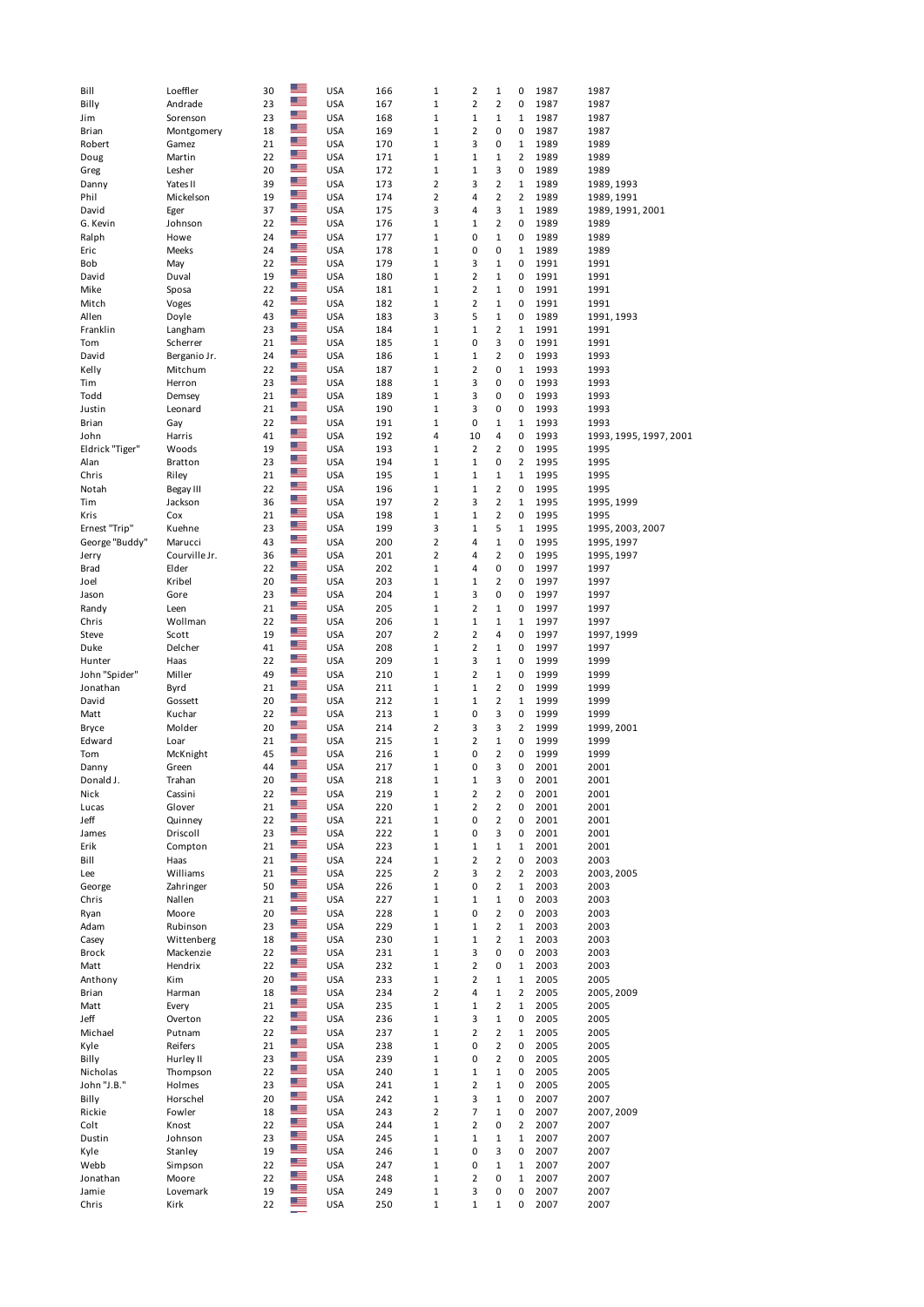| Bill            | Loeffler         | 30       |                    | <b>USA</b>               | 166        | $1\,$                      | $\overline{2}$    | $\mathbf{1}$      | 0                | 1987         | 1987                   |
|-----------------|------------------|----------|--------------------|--------------------------|------------|----------------------------|-------------------|-------------------|------------------|--------------|------------------------|
| Billy           | Andrade          | 23       | 置                  | <b>USA</b>               | 167        | $\mathbf 1$                | $\overline{2}$    | $\overline{2}$    | 0                | 1987         | 1987                   |
| Jim             | Sorenson         | 23       | $\frac{m}{2}$      | <b>USA</b>               | 168        | $1\,$                      | $1\,$             | $\mathbf{1}$      | 1                | 1987         | 1987                   |
|                 |                  |          | $\frac{m}{2}$      |                          |            |                            |                   |                   |                  |              |                        |
| Brian           | Montgomery       | 18       |                    | <b>USA</b>               | 169        | $\mathbf 1$                | $\overline{2}$    | 0                 | 0                | 1987         | 1987                   |
| Robert          | Gamez            | 21       | $\frac{m}{2}$      | <b>USA</b>               | 170        | $\mathbf 1$                | 3                 | 0                 | $\mathbf{1}$     | 1989         | 1989                   |
| Doug            | Martin           | 22       | 置                  | <b>USA</b>               | 171        | $\mathbf 1$                | $\mathbf 1$       | $\mathbf 1$       | $\overline{2}$   | 1989         | 1989                   |
| Greg            | Lesher           | 20       | $\frac{m}{2}$      | <b>USA</b>               | 172        | $1\,$                      | $1\,$             | 3                 | 0                | 1989         | 1989                   |
| Danny           | Yates II         | 39       | ▀▀                 | <b>USA</b>               | 173        | $\overline{2}$             | 3                 | $\overline{2}$    | $\mathbf{1}$     | 1989         | 1989, 1993             |
|                 |                  | 19       | <u>me</u>          |                          |            |                            | 4                 |                   |                  |              |                        |
| Phil            | Mickelson        |          | $\frac{m}{2}$      | <b>USA</b>               | 174        | $\overline{2}$             |                   | $\overline{2}$    | $\overline{2}$   | 1989         | 1989, 1991             |
| David           | Eger             | 37       |                    | <b>USA</b>               | 175        | 3                          | 4                 | 3                 | $\mathbf{1}$     | 1989         | 1989, 1991, 2001       |
| G. Kevin        | Johnson          | 22       | ▀                  | <b>USA</b>               | 176        | $\mathbf{1}$               | $\mathbf{1}$      | $\overline{2}$    | 0                | 1989         | 1989                   |
| Ralph           | Howe             | 24       | $\frac{m}{2}$      | <b>USA</b>               | 177        | $1\,$                      | 0                 | $\mathbf{1}$      | 0                | 1989         | 1989                   |
| Eric            | Meeks            | 24       | ≝                  | <b>USA</b>               | 178        | $\mathbf 1$                | 0                 | 0                 | $\mathbf 1$      | 1989         | 1989                   |
| Bob             | May              | 22       | $\frac{m}{2}$      | <b>USA</b>               | 179        | $\mathbf{1}$               | 3                 | $\mathbf 1$       | 0                | 1991         | 1991                   |
|                 |                  |          | $\frac{m}{2}$      |                          |            |                            |                   |                   |                  |              |                        |
| David           | Duval            | 19       |                    | <b>USA</b>               | 180        | $1\,$                      | $\overline{2}$    | $\mathbf 1$       | 0                | 1991         | 1991                   |
| Mike            | Sposa            | 22       | $\frac{m}{2}$      | <b>USA</b>               | 181        | $1\,$                      | $\overline{2}$    | $\mathbf{1}$      | 0                | 1991         | 1991                   |
| Mitch           | Voges            | 42       | $\frac{m}{2}$      | <b>USA</b>               | 182        | $\mathbf 1$                | $\overline{2}$    | $\mathbf 1$       | 0                | 1991         | 1991                   |
| Allen           | Doyle            | 43       | $\frac{m}{2}$      | <b>USA</b>               | 183        | 3                          | 5                 | $\mathbf 1$       | 0                | 1989         | 1991, 1993             |
| Franklin        | Langham          | 23       | $\frac{m}{2}$      | <b>USA</b>               | 184        | $\mathbf 1$                | $\mathbf 1$       | $\overline{2}$    | $\mathbf{1}$     | 1991         | 1991                   |
| Tom             | Scherrer         | 21       | $\frac{1}{12}$     | <b>USA</b>               | 185        | $\mathbf 1$                | 0                 | 3                 | 0                | 1991         | 1991                   |
|                 |                  |          | $\frac{1}{12}$     |                          |            |                            |                   |                   |                  |              |                        |
| David           | Berganio Jr.     | 24       |                    | <b>USA</b>               | 186        | $1\,$                      | $1\,$             | $\overline{2}$    | 0                | 1993         | 1993                   |
| Kelly           | Mitchum          | 22       | <u>me</u>          | <b>USA</b>               | 187        | $1\,$                      | $\overline{2}$    | 0                 | $\mathbf{1}$     | 1993         | 1993                   |
| Tim             | Herron           | 23       | $\frac{m}{2}$      | <b>USA</b>               | 188        | $\mathbf 1$                | 3                 | 0                 | 0                | 1993         | 1993                   |
| Todd            | Demsey           | 21       | ▀                  | <b>USA</b>               | 189        | $\mathbf 1$                | 3                 | 0                 | 0                | 1993         | 1993                   |
| Justin          | Leonard          | 21       | 置                  | <b>USA</b>               | 190        | $\mathbf 1$                | 3                 | 0                 | 0                | 1993         | 1993                   |
| Brian           | Gay              | 22       | ▀▀                 | <b>USA</b>               | 191        | $\mathbf 1$                | 0                 | $\mathbf{1}$      | $\mathbf{1}$     | 1993         | 1993                   |
|                 |                  |          | $\frac{m}{2}$      |                          |            |                            |                   |                   |                  |              |                        |
| John            | Harris           | 41       |                    | <b>USA</b>               | 192        | 4                          | 10                | 4                 | 0                | 1993         | 1993, 1995, 1997, 2001 |
| Eldrick "Tiger" | Woods            | 19       | $\frac{m}{2}$      | <b>USA</b>               | 193        | $1\,$                      | $\overline{2}$    | $\overline{2}$    | 0                | 1995         | 1995                   |
| Alan            | Bratton          | 23       | $\frac{m}{2}$      | <b>USA</b>               | 194        | $\mathbf 1$                | $1\,$             | 0                 | $\overline{2}$   | 1995         | 1995                   |
| Chris           | Riley            | 21       | ≝≣                 | <b>USA</b>               | 195        | $\mathbf{1}$               | $1\,$             | $\mathbf{1}$      | $\mathbf 1$      | 1995         | 1995                   |
| Notah           | Begay III        | 22       | ≝                  | <b>USA</b>               | 196        | $\mathbf 1$                | $1\,$             | $\overline{2}$    | 0                | 1995         | 1995                   |
| Tim             | Jackson          | 36       | $\frac{m}{2}$      | <b>USA</b>               | 197        | $\overline{2}$             | 3                 | $\overline{2}$    | $\mathbf 1$      | 1995         | 1995, 1999             |
|                 |                  |          | $\frac{m}{2}$      |                          |            |                            |                   |                   |                  |              |                        |
| Kris            | Cox              | 21       |                    | <b>USA</b>               | 198        | $\mathbf 1$                | $\mathbf 1$       | $\overline{2}$    | 0                | 1995         | 1995                   |
| Ernest "Trip"   | Kuehne           | 23       | ▀▀                 | <b>USA</b>               | 199        | 3                          | $\mathbf 1$       | 5                 | $\mathbf{1}$     | 1995         | 1995, 2003, 2007       |
| George "Buddy"  | Marucci          | 43       | $\frac{m}{2}$      | <b>USA</b>               | 200        | $\overline{2}$             | 4                 | $\mathbf{1}$      | 0                | 1995         | 1995, 1997             |
| Jerry           | Courville Jr.    | 36       | $\frac{m}{2}$      | <b>USA</b>               | 201        | $\overline{2}$             | 4                 | $\mathbf 2$       | 0                | 1995         | 1995, 1997             |
| Brad            | Elder            | 22       | $\frac{m}{2}$      | <b>USA</b>               | 202        | $\mathbf 1$                | 4                 | 0                 | 0                | 1997         | 1997                   |
|                 | Kribel           | 20       | $\frac{m}{2}$      | <b>USA</b>               | 203        | $\mathbf 1$                |                   | $\overline{2}$    | 0                | 1997         | 1997                   |
| Joel            |                  |          | 置                  |                          |            |                            | $1\,$             |                   |                  |              |                        |
| Jason           | Gore             | 23       |                    | <b>USA</b>               | 204        | $1\,$                      | 3                 | 0                 | 0                | 1997         | 1997                   |
| Randy           | Leen             | 21       | $\mathbb{Z}$       | <b>USA</b>               | 205        | $\mathbf{1}$               | $\overline{2}$    | $\mathbf 1$       | 0                | 1997         | 1997                   |
| Chris           | Wollman          | 22       | ▀                  | <b>USA</b>               | 206        | $\mathbf 1$                | $\mathbf 1$       | $\mathbf 1$       | $\mathbf{1}$     | 1997         | 1997                   |
| Steve           | Scott            | 19       | 当                  | <b>USA</b>               | 207        | $\overline{2}$             | $\overline{2}$    | 4                 | 0                | 1997         | 1997, 1999             |
| Duke            | Delcher          | 41       | $\frac{1}{10}$     | <b>USA</b>               | 208        | $\mathbf 1$                | $\mathbf 2$       | $\mathbf 1$       | 0                | 1997         | 1997                   |
|                 |                  |          | ▀▀                 |                          |            |                            |                   |                   |                  |              |                        |
| Hunter          | Haas             | 22       | <u>me</u>          | <b>USA</b>               | 209        | $\mathbf 1$                | 3                 | $\mathbf{1}$      | 0                | 1999         | 1999                   |
| John "Spider"   | Miller           | 49       |                    | <b>USA</b>               | 210        | $\mathbf 1$                | $\overline{2}$    | $\mathbf{1}$      | 0                | 1999         | 1999                   |
| Jonathan        | Byrd             | 21       | $\frac{m}{2}$      | <b>USA</b>               | 211        | $\mathbf 1$                | $\mathbf 1$       | $\mathbf 2$       | 0                | 1999         | 1999                   |
|                 |                  |          | $\frac{1}{12}$     | <b>USA</b>               | 212        | $1\,$                      | $1\,$             | $\overline{2}$    | $\mathbf 1$      | 1999         | 1999                   |
| David           | Gossett          | 20       |                    |                          |            |                            |                   |                   |                  |              |                        |
|                 |                  |          | $\frac{m}{2}$      |                          |            |                            |                   |                   |                  |              |                        |
| Matt            | Kuchar           | 22       |                    | <b>USA</b>               | 213        | $1\,$                      | 0                 | 3                 | 0                | 1999         | 1999                   |
| <b>Bryce</b>    | Molder           | 20       | ▀▀                 | <b>USA</b>               | 214        | $\overline{2}$             | 3                 | 3                 | 2                | 1999         | 1999, 2001             |
| Edward          | Loar             | 21       | ▀▀                 | <b>USA</b>               | 215        | $\mathbf 1$                | $\overline{2}$    | $\mathbf 1$       | 0                | 1999         | 1999                   |
| Tom             | McKnight         | 45       | ▀                  | <b>USA</b>               | 216        | $\mathbf 1$                | 0                 | $\overline{2}$    | $\pmb{0}$        | 1999         | 1999                   |
| Danny           | Green            | 44       | $\frac{m}{2}$      | <b>USA</b>               | 217        | $\mathbf 1$                | 0                 | 3                 | $\pmb{0}$        | 2001         | 2001                   |
| Donald J.       | Trahan           | 20       | $\frac{m}{2}$      | <b>USA</b>               | 218        | $\mathbf{1}$               | $\mathbf{1}$      | 3                 | 0                | 2001         | 2001                   |
|                 |                  |          | ≝                  |                          |            |                            |                   |                   |                  |              |                        |
| Nick            | Cassini          | 22       |                    | <b>USA</b>               | 219        | $\mathbf 1$                | $\overline{2}$    | $\overline{2}$    | 0                | 2001         | 2001                   |
| Lucas           | Glover           | 21       | ▀▀                 | <b>USA</b>               | 220        | $1\,$                      | $\overline{2}$    | $\overline{2}$    | 0                | 2001         | 2001                   |
| Jeff            | Quinney          | 22       | 드                  | <b>USA</b>               | 221        | $\mathbf 1$                | 0                 | $\overline{2}$    | 0                | 2001         | 2001                   |
| James           | Driscoll         | 23       | ▀                  | <b>USA</b>               | 222        | $\mathbf 1$                | 0                 | 3                 | 0                | 2001         | 2001                   |
| Erik            | Compton          | 21       | 当                  | <b>USA</b>               | 223        | $\mathbf{1}$               | $1\,$             | $\mathbf{1}$      | $\mathbf{1}$     | 2001         | 2001                   |
| Bill            | Haas             | 21       | ▀▀                 | <b>USA</b>               | 224        | $\mathbf 1$                | $\overline{2}$    | $\overline{2}$    | 0                | 2003         | 2003                   |
| Lee             | Williams         | 21       | $\frac{m}{2}$      | <b>USA</b>               | 225        | $\overline{2}$             | 3                 | $\mathbf 2$       | $\overline{2}$   | 2003         | 2003, 2005             |
|                 |                  |          | 当                  |                          |            |                            |                   |                   |                  |              |                        |
| George          | Zahringer        | 50       |                    | <b>USA</b>               | 226        | $1\,$                      | 0                 | $\overline{2}$    | $\mathbf 1$      | 2003         | 2003                   |
| Chris           | Nallen           | 21       | $\frac{12}{12}$    | <b>USA</b>               | 227        | $\mathbf 1$                | $1\,$             | $\mathbf 1$       | 0                | 2003         | 2003                   |
| Ryan            | Moore            | 20       | ≝≣                 | <b>USA</b>               | 228        | $\mathbf 1$                | 0                 | $\overline{2}$    | 0                | 2003         | 2003                   |
| Adam            | Rubinson         | 23       | ≝                  | <b>USA</b>               | 229        | $\mathbf 1$                | $1\,$             | $\overline{2}$    | $\mathbf{1}$     | 2003         | 2003                   |
| Casey           | Wittenberg       | 18       | 置                  | <b>USA</b>               | 230        | $\mathbf 1$                | $\mathbf 1$       | $\overline{2}$    | $\mathbf 1$      | 2003         | 2003                   |
|                 |                  | 22       | $\frac{1}{12}$     |                          |            |                            |                   |                   |                  |              |                        |
| <b>Brock</b>    | Mackenzie        |          | ▀▀                 | <b>USA</b>               | 231        | $\mathbf 1$                | 3                 | 0                 | 0                | 2003         | 2003                   |
| Matt            | Hendrix          | 22       |                    | <b>USA</b>               | 232        | $\mathbf 1$                | $\overline{2}$    | 0                 | $\mathbf{1}$     | 2003         | 2003                   |
| Anthony         | Kim              | 20       | ▀                  | <b>USA</b>               | 233        | $\mathbf 1$                | $\overline{2}$    | $\mathbf{1}$      | $\mathbf 1$      | 2005         | 2005                   |
| Brian           | Harman           | 18       | ▀▀                 | <b>USA</b>               | 234        | $\overline{2}$             | 4                 | $\mathbf 1$       | $\overline{2}$   | 2005         | 2005, 2009             |
| Matt            | Every            | 21       | $\frac{m}{2}$      | <b>USA</b>               | 235        | $\mathbf 1$                | $1\,$             | $\overline{2}$    | $\mathbf 1$      | 2005         | 2005                   |
| Jeff            | Overton          | 22       | كا                 | <b>USA</b>               | 236        | $\mathbf 1$                | 3                 | $\mathbf 1$       | 0                | 2005         | 2005                   |
| Michael         | Putnam           | 22       | 置                  | <b>USA</b>               |            | $\mathbf{1}$               | $\overline{2}$    |                   |                  |              |                        |
|                 |                  |          | $\frac{m}{2}$      |                          | 237        |                            |                   | $\overline{2}$    | $\mathbf 1$      | 2005         | 2005                   |
| Kyle            | Reifers          | 21       |                    | <b>USA</b>               | 238        | $\mathbf 1$                | 0                 | $\overline{2}$    | 0                | 2005         | 2005                   |
| Billy           | Hurley II        | 23       | $\frac{12}{12}$    | <b>USA</b>               | 239        | $\mathbf 1$                | 0                 | $\overline{2}$    | 0                | 2005         | 2005                   |
| Nicholas        | Thompson         | 22       | 当                  | <b>USA</b>               | 240        | $\mathbf 1$                | $\mathbf 1$       | $\mathbf{1}$      | 0                | 2005         | 2005                   |
| John "J.B."     | Holmes           | 23       | $\frac{1}{2}$      | <b>USA</b>               | 241        | $\mathbf 1$                | $\overline{2}$    | $\mathbf 1$       | 0                | 2005         | 2005                   |
| Billy           | Horschel         | 20       | $\frac{m}{2}$      | <b>USA</b>               | 242        | $\mathbf 1$                | 3                 | $\mathbf{1}$      | 0                | 2007         | 2007                   |
|                 |                  |          | ك                  |                          |            |                            |                   |                   |                  |              |                        |
| Rickie          | Fowler           | 18       |                    | <b>USA</b>               | 243        | $\overline{2}$             | 7                 | $\mathbf{1}$      | 0                | 2007         | 2007, 2009             |
| Colt            | Knost            | 22       | $\frac{1}{2}$      | <b>USA</b>               | 244        | $\mathbf 1$                | $\overline{2}$    | 0                 | $\overline{2}$   | 2007         | 2007                   |
| Dustin          | Johnson          | 23       | $\frac{1}{12}$     | <b>USA</b>               | 245        | $\mathbf 1$                | $1\,$             | $\mathbf 1$       | $\mathbf 1$      | 2007         | 2007                   |
| Kyle            | Stanley          | 19       | $\frac{12}{12}$    | <b>USA</b>               | 246        | $1\,$                      | 0                 | 3                 | 0                | 2007         | 2007                   |
| Webb            | Simpson          | 22       | ≝≣                 | <b>USA</b>               | 247        | $\mathbf 1$                | 0                 | $\mathbf{1}$      | $\mathbf 1$      | 2007         | 2007                   |
| Jonathan        | Moore            | 22       | <u>e s</u>         | <b>USA</b>               | 248        | $\mathbf 1$                |                   | 0                 | $\mathbf{1}$     |              |                        |
|                 |                  |          |                    |                          |            |                            | $\overline{2}$    |                   |                  | 2007         | 2007                   |
| Jamie<br>Chris  | Lovemark<br>Kirk | 19<br>22 | 当<br>$\frac{m}{2}$ | <b>USA</b><br><b>USA</b> | 249<br>250 | $\mathbf 1$<br>$\mathbf 1$ | 3<br>$\mathbf{1}$ | 0<br>$\mathbf{1}$ | 0<br>$\mathbf 0$ | 2007<br>2007 | 2007<br>2007           |